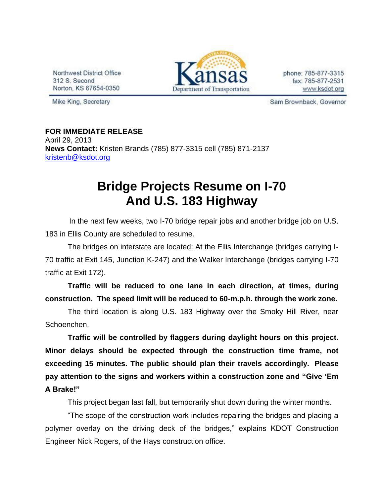Northwest District Office 312 S. Second Norton, KS 67654-0350



phone: 785-877-3315 fax: 785-877-2531 www.ksdot.org

Mike King, Secretary

Sam Brownback, Governor

**FOR IMMEDIATE RELEASE** April 29, 2013 **News Contact:** Kristen Brands (785) 877-3315 cell (785) 871-2137 [kristenb@ksdot.org](mailto:kristenb@ksdot.org)

## **Bridge Projects Resume on I-70 And U.S. 183 Highway**

 In the next few weeks, two I-70 bridge repair jobs and another bridge job on U.S. 183 in Ellis County are scheduled to resume.

The bridges on interstate are located: At the Ellis Interchange (bridges carrying I-70 traffic at Exit 145, Junction K-247) and the Walker Interchange (bridges carrying I-70 traffic at Exit 172).

**Traffic will be reduced to one lane in each direction, at times, during construction. The speed limit will be reduced to 60-m.p.h. through the work zone.**

The third location is along U.S. 183 Highway over the Smoky Hill River, near Schoenchen.

**Traffic will be controlled by flaggers during daylight hours on this project. Minor delays should be expected through the construction time frame, not exceeding 15 minutes. The public should plan their travels accordingly. Please pay attention to the signs and workers within a construction zone and "Give 'Em A Brake!"**

This project began last fall, but temporarily shut down during the winter months.

"The scope of the construction work includes repairing the bridges and placing a polymer overlay on the driving deck of the bridges," explains KDOT Construction Engineer Nick Rogers, of the Hays construction office.